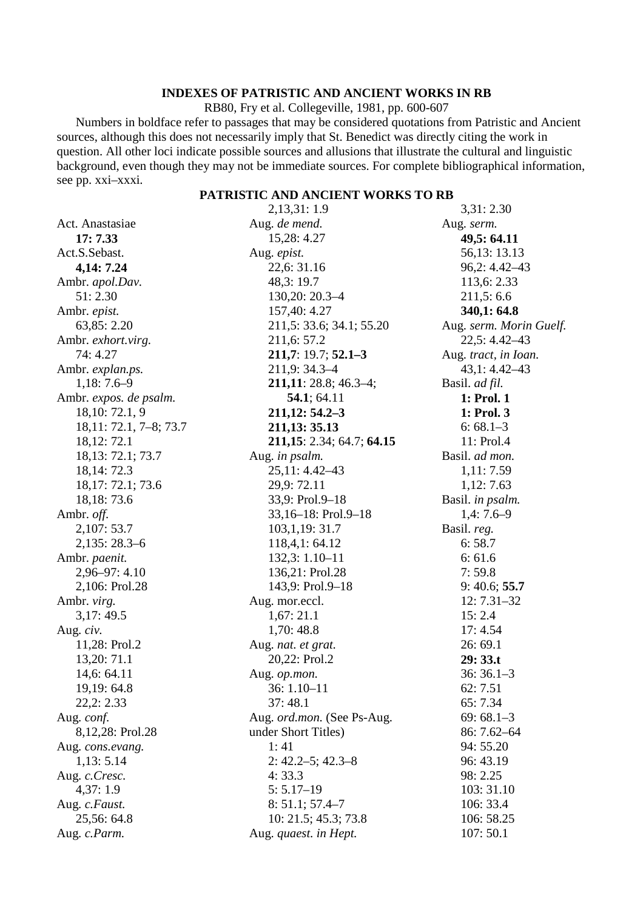## **INDEXES OF PATRISTIC AND ANCIENT WORKS IN RB**

RB80, Fry et al. Collegeville, 1981, pp. 600-607

Numbers in boldface refer to passages that may be considered quotations from Patristic and Ancient sources, although this does not necessarily imply that St. Benedict was directly citing the work in question. All other loci indicate possible sources and allusions that illustrate the cultural and linguistic background, even though they may not be immediate sources. For complete bibliographical information, see pp. xxi–xxxi.

## **PATRISTIC AND ANCIENT WORKS TO RB**

|                        | 2,13,31:1.9                | 3,31:2.30               |
|------------------------|----------------------------|-------------------------|
| Act. Anastasiae        | Aug. de mend.              | Aug. serm.              |
| 17: 7.33               | 15,28: 4.27                | 49,5: 64.11             |
| Act.S.Sebast.          | Aug. epist.                | 56,13:13.13             |
| 4,14: 7.24             | 22,6: 31.16                | $96,2:4.42-43$          |
| Ambr. apol.Dav.        | 48,3:19.7                  | 113,6: 2.33             |
| 51:2.30                | 130,20: 20.3-4             | 211,5:6.6               |
| Ambr. epist.           | 157,40: 4.27               | 340,1:64.8              |
| 63,85:2.20             | 211,5: 33.6; 34.1; 55.20   | Aug. serm. Morin Guelf. |
| Ambr. exhort.virg.     | 211,6: 57.2                | 22,5: 4.42-43           |
| 74: 4.27               | $211,7:19.7;52.1-3$        | Aug. tract, in Ioan.    |
| Ambr. explan.ps.       | 211,9:34.3-4               | $43,1:4.42-43$          |
| $1,18:7.6-9$           | $211,11:28.8;46.3-4;$      | Basil. ad fil.          |
| Ambr. expos. de psalm. | 54.1; 64.11                | 1: Prol. 1              |
| 18, 10: 72.1, 9        | $211,12:54.2-3$            | 1: Prol. 3              |
| $18,11:72.1,7-8;73.7$  | 211, 13: 35. 13            | $6:68.1-3$              |
| 18, 12: 72.1           | 211,15: 2.34; 64.7; 64.15  | 11: Prol.4              |
| 18, 13: 72.1; 73.7     | Aug. in psalm.             | Basil. ad mon.          |
| 18, 14: 72.3           | $25,11:4.42-43$            | 1,11:7.59               |
| 18, 17: 72.1; 73.6     | 29,9:72.11                 | 1,12:7.63               |
| 18, 18: 73. 6          | 33,9: Prol.9-18            | Basil. in psalm.        |
| Ambr. off.             | 33,16-18: Prol.9-18        | $1,4:7.6-9$             |
| 2,107:53.7             | 103, 1, 19: 31.7           | Basil. reg.             |
| $2,135:28.3-6$         | 118,4,1:64.12              | 6:58.7                  |
| Ambr. paenit.          | 132,3: 1.10-11             | 6:61.6                  |
| 2,96-97: 4.10          | 136,21: Prol.28            | 7:59.8                  |
| 2,106: Prol.28         | 143,9: Prol.9-18           | 9: 40.6; 55.7           |
| Ambr. virg.            | Aug. mor.eccl.             | $12:7.31-32$            |
| 3,17:49.5              | 1,67:21.1                  | 15:2.4                  |
| Aug. civ.              | 1,70:48.8                  | 17:4.54                 |
| 11,28: Prol.2          | Aug. nat. et grat.         | 26:69.1                 |
| 13,20:71.1             | 20,22: Prol.2              | 29:33.t                 |
| 14,6: 64.11            | Aug. op.mon.               | $36:36.1-3$             |
| 19,19:64.8             | $36:1.10-11$               | 62:7.51                 |
| 22,2:2.33              | 37:48.1                    | 65:7.34                 |
| Aug. conf.             | Aug. ord.mon. (See Ps-Aug. | $69:68.1-3$             |
| 8,12,28: Prol.28       | under Short Titles)        | 86: 7.62-64             |
| Aug. cons.evang.       | 1:41                       | 94: 55.20               |
| 1,13:5.14              | $2: 42.2 - 5; 42.3 - 8$    | 96: 43.19               |
| Aug. c.Cresc.          | 4:33.3                     | 98: 2.25                |
| 4,37:1.9               | $5:5.17-19$                | 103: 31.10              |
| Aug. c.Faust.          | $8: 51.1; 57.4 - 7$        | 106: 33.4               |
| 25,56:64.8             | 10: 21.5; 45.3; 73.8       | 106: 58.25              |
| Aug. c.Parm.           | Aug. quaest. in Hept.      | 107:50.1                |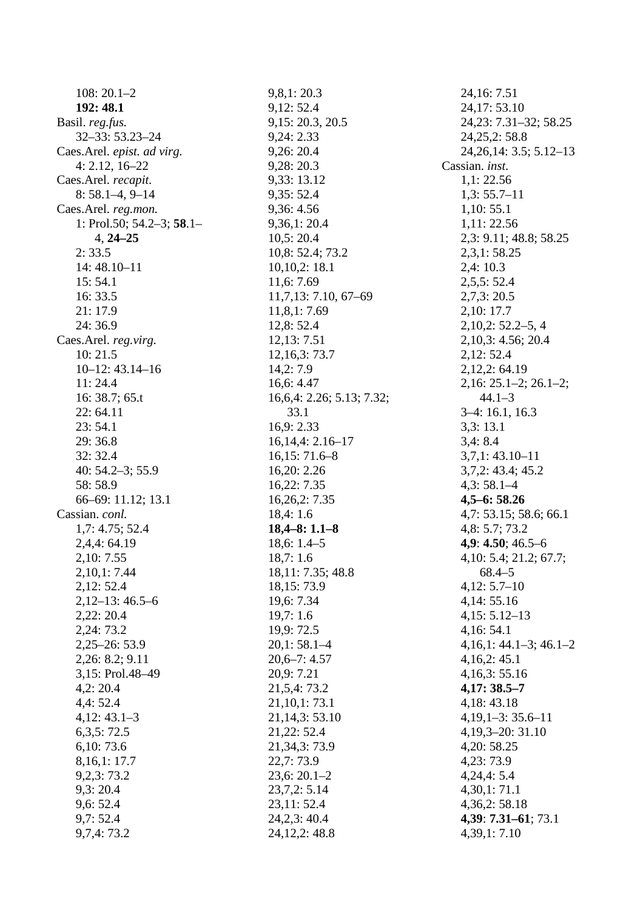$108:20.1-2$ 192: 48.1 Basil. reg.fus.  $32 - 33:53.23 - 24$ Caes.Arel. epist. ad virg.  $4: 2.12, 16 - 22$ Caes.Arel. recapit.  $8:58.1-4, 9-14$ Caes.Arel. reg.mon. 1: Prol.50;  $54.2-3$ ;  $58.1 4.24 - 25$  $2:33.5$  $14:48.10 - 11$  $15:54.1$ 16:33.5 21:17.9  $24:36.9$ Caes.Arel. reg.virg.  $10:21.5$  $10-12: 43.14-16$  $11:24.4$ 16: 38.7:  $65.t$  $22:64.11$  $23:54.1$ 29:36.8  $32:32.4$ 40:  $54.2 - 3$ ; 55.9 58:58.9  $66-69: 11.12; 13.1$ Cassian. conl.  $1,7:4.75;52.4$  $2,4,4:64.19$ 2.10: 7.55  $2,10,1:7.44$  $2,12:52.4$  $2,12-13:46.5-6$  $2,22:20.4$ 2,24:73.2  $2,25 - 26:53.9$  $2,26: 8.2: 9.11$ 3,15: Prol.48-49  $4,2:20.4$  $4,4:52.4$  $4,12:43.1-3$  $6,3,5:72.5$  $6.10:73.6$ 8,16,1:17.7  $9,2,3:73.2$  $9.3:20.4$  $9,6:52.4$  $9.7:52.4$  $9,7,4:73.2$ 

 $9,8,1:20.3$  $9,12:52.4$ 9,15:20.3, 20.5 9,24: 2.33  $9.26:20.4$  $9,28:20.3$ 9,33:13.12  $9,35:52.4$ 9,36:4.56  $9.36.1:20.4$  $10,5:20.4$ 10,8: 52.4; 73.2  $10,10,2:18.1$ 11,6:7.69  $11,7,13:7.10,67-69$  $11,8,1:7.69$ 12,8:52.4 12, 13: 7.51  $12,16,3:73.7$  $14,2:7.9$  $16, 6: 4.47$  $16,6,4:2.26; 5.13; 7.32;$ 33.1  $16.9:2.33$  $16,14,4:2.16-17$  $16,15:71.6-8$ 16,20: 2.26 16,22: 7.35  $16,26,2:7.35$  $18,4:1.6$  $18,4-8:1.1-8$  $18,6:1.4-5$  $18.7:1.6$ 18,11: 7.35; 48.8 18, 15: 73.9 19,6:7.34  $19,7:1.6$ 19,9:72.5  $20.1:58.1-4$  $20,6 - 7:4.57$ 20,9:7.21 21,5,4:73.2  $21,10,1:73.1$  $21,14,3:53.10$ 21,22:52.4 21, 34, 3: 73. 9  $22.7:73.9$  $23,6:20.1-2$  $23,7,2:5.14$  $23,11:52.4$  $24,2,3:40.4$  $24,12,2:48.8$ 

24, 16: 7.51 24,17:53.10 24, 23: 7.31 - 32; 58. 25 24, 25, 2:58.8  $24,26,14:3.5;5.12-13$ Cassian. inst.  $1,1:22.56$  $1,3:55.7-11$  $1,10:55.1$  $1.11:22.56$ 2,3: 9.11; 48.8; 58.25  $2,3,1:58.25$  $2.4:10.3$  $2,5,5:52.4$  $2,7,3:20.5$ 2,10:17.7  $2,10,2:52.2-5,4$  $2,10,3:4.56;20.4$  $2,12:52.4$ 2,12,2:64.19  $2,16: 25.1-2; 26.1-2;$  $44.1 - 3$  $3-4:16.1, 16.3$  $3.3:13.1$  $3,4:8.4$  $3,7,1:43.10-11$  $3,7,2:43.4;45.2$  $4,3:58.1-4$  $4,5-6:58.26$ 4,7: 53.15; 58.6; 66.1  $4,8:5.7;73.2$ 4,9: 4.50; 46.5-6 4, 10: 5.4; 21.2; 67.7;  $68.4 - 5$  $4,12:5.7-10$ 4,14:55.16  $4,15:5.12-13$  $4,16:54.1$  $4,16,1:44.1-3:46.1-2$  $4,16,2:45.1$  $4,16,3:55.16$  $4,17:38.5-7$  $4,18:43.18$  $4,19,1-3:35.6-11$  $4,19,3-20:31.10$  $4.20:58.25$  $4,23:73.9$  $4,24,4:5.4$  $4,30,1:71.1$  $4,36,2:58.18$ 4,39: 7.31-61; 73.1  $4,39,1:7.10$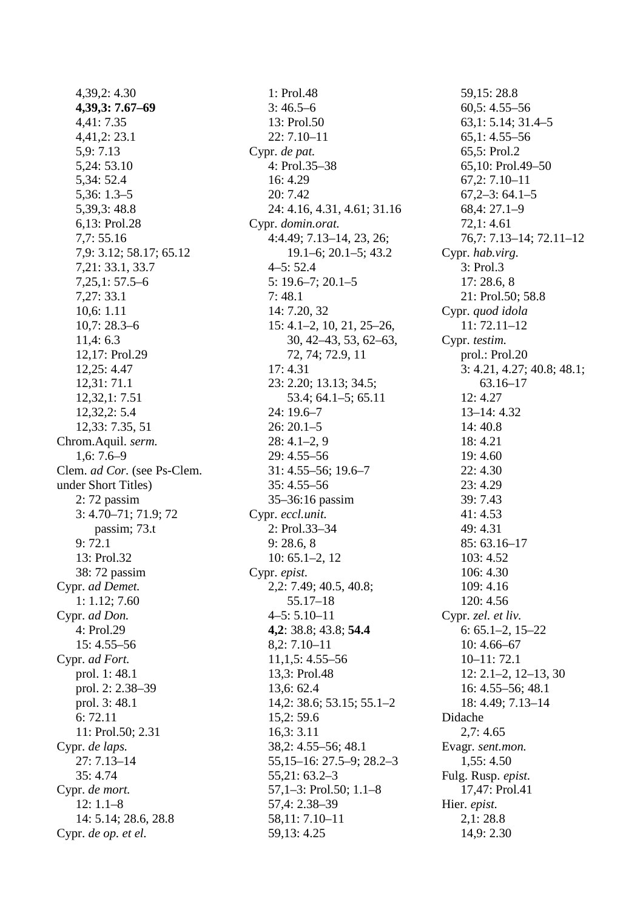$4,39,2:4.30$  $4,39.3:7.67-69$ 4,41: 7.35  $4,41,2:23.1$  $5,9:7.13$ 5,24:53.10 5,34:52.4  $5,36:1.3-5$ 5,39,3:48.8 6.13: Prol.28  $7.7:55.16$ 7,9: 3.12; 58.17; 65.12 7,21:33.1,33.7  $7,25,1:57.5-6$  $7,27:33.1$  $10,6:1.11$  $10.7:28.3-6$  $11,4:6.3$ 12,17: Prol.29 12,25:4.47  $12,31:71.1$  $12,32,1:7.51$  $12,32,2:5.4$ 12,33: 7.35, 51 Chrom.Aquil. serm.  $1.6:7.6-9$ Clem. *ad Cor.* (see Ps-Clem. under Short Titles)  $2:72$  passim  $3: 4.70 - 71; 71.9; 72$ passim; 73.t  $9:72.1$ 13: Prol.32 38:72 passim Cypr. ad Demet.  $1: 1.12; 7.60$ Cypr. ad Don. 4: Prol.29  $15: 4.55 - 56$ Cypr. ad Fort. prol. 1:48.1 prol. 2: 2.38–39 prol. 3: 48.1  $6:72.11$ 11: Prol.50; 2.31 Cypr. de laps.  $27:7.13 - 14$  $35:4.74$ Cypr. de mort.  $12:1.1-8$ 14: 5.14; 28.6, 28.8 Cypr. de op. et el.

1: Prol.48  $3:46.5-6$ 13: Prol.50  $22:7.10 - 11$ Cypr. de pat. 4: Prol.35-38 16:4.29 20:7.42 24: 4.16, 4.31, 4.61; 31.16 Cypr. domin.orat.  $4:4.49; 7.13-14, 23, 26;$  $19.1 - 6$ ; 20.1-5; 43.2  $4 - 5:52.4$  $5: 19.6 - 7; 20.1 - 5$  $7:48.1$ 14: 7.20, 32  $15: 4.1 - 2, 10, 21, 25 - 26,$  $30, 42 - 43, 53, 62 - 63,$ 72, 74; 72.9, 11  $17:4.31$ 23: 2.20; 13.13; 34.5; 53.4; 64.1-5; 65.11  $24:19.6 - 7$  $26:20.1-5$  $28: 4.1 - 2, 9$  $29:4.55 - 56$  $31: 4.55 - 56: 19.6 - 7$  $35:4.55 - 56$  $35-36:16$  passim Cypr. eccl.unit. 2: Prol.33-34  $9: 28.6, 8$  $10: 65.1 - 2, 12$ Cypr. epist. 2,2: 7.49; 40.5, 40.8;  $55.17 - 18$  $4-5:5.10-11$ 4,2: 38.8; 43.8; 54.4  $8,2:7.10-11$  $11, 1, 5: 4.55 - 56$ 13,3: Prol.48  $13,6:62.4$  $14,2:38.6;53.15;55.1-2$  $15,2:59.6$  $16,3:3.11$ 38,2: 4.55-56; 48.1  $55,15-16:27.5-9;28.2-3$  $55,21:63.2-3$  $57,1-3$ : Prol.50;  $1.1-8$ 57,4: 2.38-39 58,11: 7.10-11 59, 13: 4.25

59,15:28.8  $60.5: 4.55 - 56$  $63,1: 5.14; 31.4-5$  $65,1:4.55-56$ 65,5: Prol.2  $65,10$ : Prol.49–50  $67,2:7.10-11$  $67,2-3:64.1-5$  $68,4:27.1-9$  $72.1:4.61$  $76,7:7.13-14;72.11-12$ Cypr. hab.virg. 3: Prol.3  $17:28.6.8$ 21: Prol.50; 58.8 Cypr. quod idola  $11:72.11-12$ Cypr. testim. prol.: Prol.20  $3: 4.21, 4.27; 40.8; 48.1;$  $63.16 - 17$  $12:4.27$  $13-14:4.32$ 14:40.8 18:4.21 19:4.60  $22:4.30$  $23:4.29$ 39: 7.43  $41:4.53$ 49:4.31  $85:63.16-17$  $103:4.52$ 106: 4.30 109:4.16 120: 4.56 Cypr. zel. et liv.  $6: 65.1 - 2, 15 - 22$  $10:4.66-67$  $10 - 11:72.1$  $12: 2.1 - 2, 12 - 13, 30$  $16: 4.55 - 56; 48.1$ 18: 4.49; 7.13-14 Didache  $2.7:4.65$ Evagr. sent.mon.  $1,55:4.50$ Fulg. Rusp. epist. 17,47: Prol.41 Hier. epist.  $2,1:28.8$  $14,9:2.30$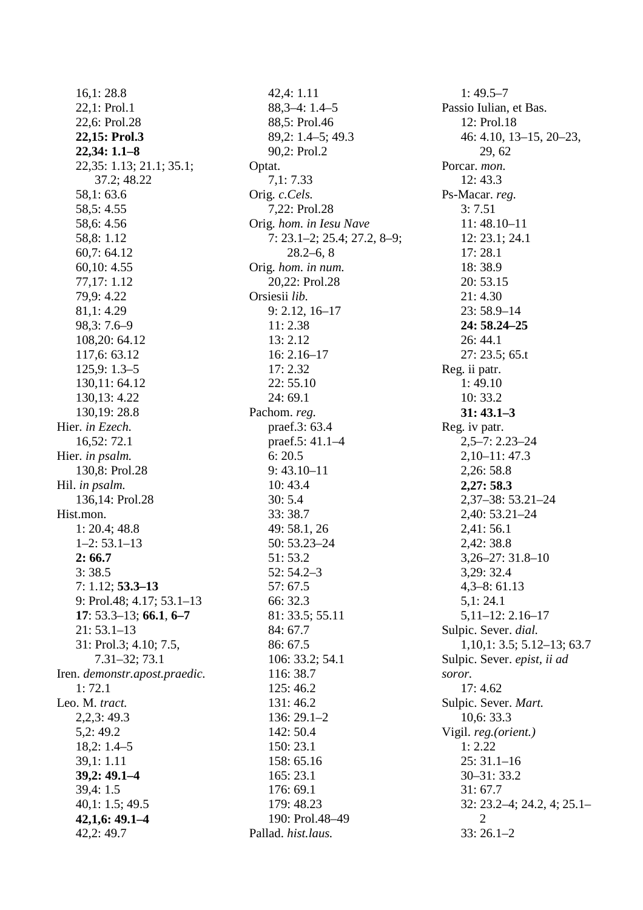$16.1:28.8$ 22.1: Prol.1 22,6: Prol.28 22,15: Prol.3  $22.34:1.1 - 8$ 22,35: 1.13; 21.1; 35.1; 37.2; 48.22 58,1:63.6 58.5: 4.55 58.6: 4.56 58.8: 1.12 60,7:64.12  $60.10:4.55$ 77,17: 1.12 79,9:4.22  $81,1:4.29$  $98.3:7.6-9$ 108,20:64.12 117.6: 63.12  $125,9:1.3-5$ 130,11:64.12 130.13: 4.22 130.19:28.8 Hier. in Ezech. 16,52:72.1 Hier. in psalm. 130,8: Prol.28 Hil. in psalm. 136,14: Prol.28 Hist.mon.  $1: 20.4; 48.8$  $1-2: 53.1-13$  $2:66.7$  $3:38.5$  $7: 1.12; 53.3 - 13$ 9: Prol.48;  $4.17$ ;  $53.1-13$  $17: 53.3-13; 66.1, 6-7$  $21:53.1-13$ 31: Prol.3; 4.10; 7.5,  $7.31 - 32; 73.1$ Iren. demonstr.apost.praedic.  $1:72.1$ Leo. M. tract.  $2.2.3:49.3$  $5.2:49.2$  $18.2: 1.4 - 5$  $39.1:1.11$  $39.2:49.1 - 4$  $39,4:1.5$  $40,1:1.5;49.5$  $42,1,6:49,1-4$ 42,2:49.7

 $42,4:1.11$  $88,3-4:1.4-5$ 88,5: Prol.46  $89.2: 1.4 - 5: 49.3$ 90,2: Prol.2 Optat.  $7,1:7.33$ Orig. c.Cels. 7,22: Prol.28 Orig. hom. in Iesu Nave  $7: 23.1 - 2; 25.4; 27.2, 8 - 9;$  $28.2 - 6, 8$ Orig. hom. in num. 20.22: Prol.28 Orsiesii lib.  $9: 2.12, 16-17$  $11:2.38$  $13:2.12$  $16:2.16-17$  $17:2.32$  $22:55.10$  $24:69.1$ Pachom. reg. praef.3: 63.4 praef.5: 41.1-4  $6:20.5$  $9:43.10-11$  $10:43.4$  $30:5.4$ 33:38.7 49:58.1,26 50: 53.23-24 51:53.2  $52:54.2-3$  $57:67.5$ 66: 32.3 81: 33.5: 55.11 84:67.7 86: 67.5 106: 33.2; 54.1 116: 38.7 125:46.2 131:46.2  $136:29.1-2$  $142:50.4$  $150:23.1$ 158: 65.16  $165:23.1$  $176:69.1$ 179: 48.23 190: Prol.48-49 Pallad. hist.laus.

 $1:49.5-7$ Passio Iulian, et Bas. 12: Prol.18  $46: 4.10, 13-15, 20-23,$ 29.62 Porcar. mon.  $12:43.3$ Ps-Macar. reg.  $3:7.51$  $11:48.10 - 11$  $12: 23.1: 24.1$  $17:28.1$ 18:38.9  $20:53.15$  $21:4.30$  $23:58.9-14$ 24: 58.24-25  $26:44.1$  $27: 23.5; 65.t$ Reg. ii patr.  $1:49.10$  $10:33.2$  $31: 43.1 - 3$ Reg. iv patr.  $2,5-7:2.23-24$  $2,10-11:47.3$  $2,26:58.8$ 2,27:58.3  $2,37-38:53.21-24$ 2,40: 53.21-24  $2,41:56.1$  $2.42:38.8$  $3.26 - 27:31.8 - 10$  $3.29:32.4$  $4,3-8:61.13$  $5,1:24.1$  $5,11-12:2.16-17$ Sulpic. Sever. dial.  $1,10,1: 3.5; 5.12-13; 63.7$ Sulpic. Sever. epist, ii ad soror.  $17:4.62$ Sulpic. Sever. Mart.  $10,6:33.3$ Vigil. reg. (orient.)  $1: 2.22$  $25:31.1-16$  $30 - 31:33.2$  $31:67.7$  $32: 23.2 - 4; 24.2, 4; 25.1 -$ 2  $33:26.1-2$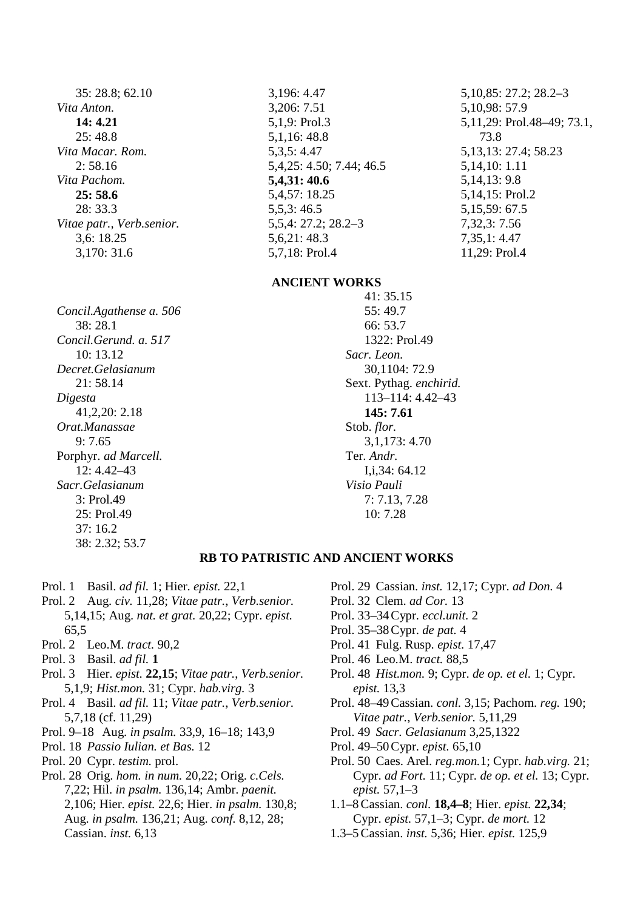35: 28.8; 62.10 Vita Anton.  $14:4.21$  $25:48.8$ Vita Macar, Rom.  $2:58.16$ Vita Pachom.  $25:58.6$  $28:33.3$ Vitae patr., Verb.senior.  $3.6:18.25$ 3,170: 31.6

3,196: 4.47 3,206: 7.51 5,1,9: Prol.3 5,1,16:48.8  $5.3.5:4.47$ 5, 4, 25: 4.50; 7.44; 46.5 5,4,31:40.6 5,4,57: 18.25  $5,5,3:46.5$  $5.5.4: 27.2: 28.2 - 3$  $5.6.21:48.3$ 5,7,18: Prol.4

## **ANCIENT WORKS**

Concil.Agathense a. 506  $38:28.1$ Concil Gerund, a. 517  $10:13.12$ Decret.Gelasianum  $21:58.14$ Digesta  $41,2,20:2,18$ Orat.Manassae  $9:7.65$ Porphyr. ad Marcell.  $12:4.42 - 43$ Sacr.Gelasianum 3: Prol.49 25: Prol.49  $37:16.2$ 38: 2.32; 53.7

 $41:35.15$ 55:49.7 66:53.7 1322: Prol.49 Sacr. Leon. 30,1104:72.9 Sext. Pythag. enchirid. 113-114: 4.42-43  $145:7.61$ Stob. flor. 3,1,173: 4.70 Ter. Andr.  $Li.34:64.12$ Visio Pauli  $7:7.13,7.28$ 10:7.28

 $5,10,85:27.2;28.2-3$ 

5, 13, 13: 27.4; 58.23

5,11,29: Prol.48–49; 73.1,

5, 10, 98: 57.9

73.8

5, 14, 10: 1.11

5, 14, 13: 9.8

5,14,15: Prol.2

5,15,59:67.5

 $7.32.3:7.56$ 

 $7.35.1:4.47$ 

11,29: Prol.4

## **RB TO PATRISTIC AND ANCIENT WORKS**

- Prol. 1 Basil. ad fil. 1; Hier. epist. 22,1
- Prol. 2 Aug. civ. 11,28; Vitae patr., Verb.senior. 5,14,15; Aug. nat. et grat. 20,22; Cypr. epist. 65,5
- Prol. 2 Leo.M. tract. 90,2
- Prol. 3 Basil. ad fil. 1
- Prol. 3 Hier. epist. 22,15; Vitae patr., Verb.senior. 5,1,9; Hist.mon. 31; Cypr. hab.virg. 3
- Prol. 4 Basil. ad fil. 11; Vitae patr., Verb.senior. 5,7,18 (cf. 11,29)
- Prol. 9–18 Aug. in psalm. 33,9, 16–18; 143,9
- Prol. 18 Passio Iulian. et Bas. 12
- Prol. 20 Cypr. testim. prol.
- Prol. 28 Orig. hom. in num. 20,22; Orig. c. Cels. 7,22; Hil. in psalm. 136,14; Ambr. paenit. 2,106; Hier. epist. 22,6; Hier. in psalm. 130,8; Aug. in psalm. 136,21; Aug. conf. 8,12, 28; Cassian. inst. 6,13
- Prol. 29 Cassian. inst. 12,17; Cypr. ad Don. 4
- Prol. 32 Clem. ad Cor. 13
- Prol. 33-34 Cypr. eccl.unit. 2
- Prol. 35-38 Cypr. de pat. 4
- Prol. 41 Fulg. Rusp. epist. 17,47
- Prol. 46 Leo.M. tract. 88,5
- Prol. 48 Hist.mon. 9; Cypr. de op. et el. 1; Cypr. epist.  $13,3$
- Prol. 48-49 Cassian. conl. 3,15; Pachom. reg. 190; Vitae patr., Verb.senior. 5,11,29
- Prol. 49 Sacr. Gelasianum 3.25.1322
- Prol. 49-50 Cypr. epist. 65,10
- Prol. 50 Caes. Arel. reg.mon.1; Cypr. hab.virg. 21; Cypr. ad Fort. 11; Cypr. de op. et el. 13; Cypr. epist. 57,1-3
- 1.1-8 Cassian. conl. 18,4-8; Hier. epist. 22,34; Cypr. epist. 57,1-3; Cypr. de mort. 12
- 1.3-5 Cassian. inst. 5,36; Hier. epist. 125,9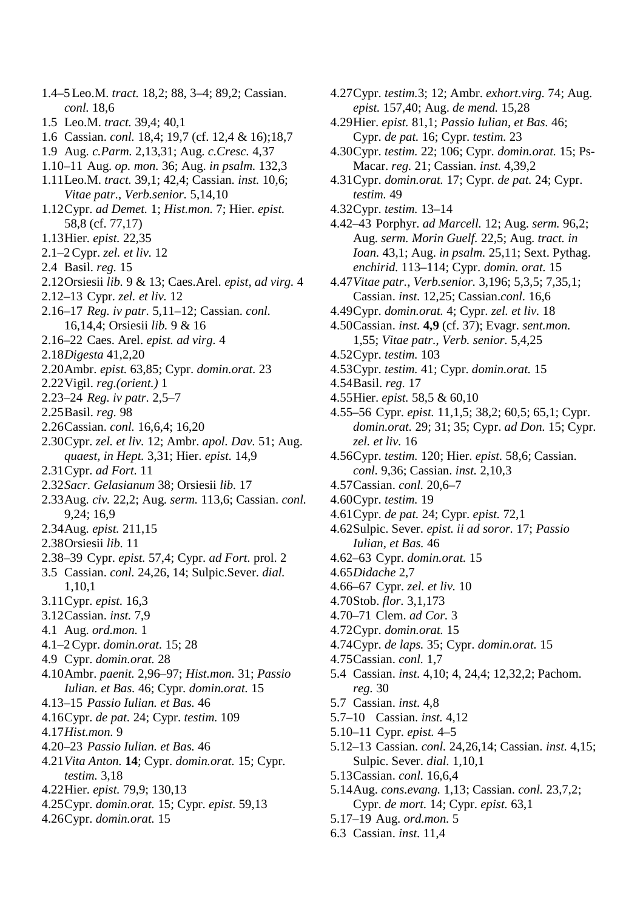*conl.* 18,6 1.5 Leo.M. *tract.* 39,4; 40,1 1.6 Cassian. *conl.* 18,4; 19,7 (cf. 12,4 & 16);18,7 1.9 Aug. *c.Parm.* 2,13,31; Aug. *c.Cresc.* 4,37 1.10–11 Aug. *op. mon.* 36; Aug. *in psalm.* 132,3 1.11Leo.M. *tract.* 39,1; 42,4; Cassian. *inst.* 10,6; *Vitae patr.*, *Verb.senior.* 5,14,10 1.12Cypr. *ad Demet.* 1; *Hist.mon.* 7; Hier. *epist.* 58,8 (cf. 77,17) 1.13Hier. *epist.* 22,35 2.1–2 Cypr. *zel. et liv.* 12 2.4 Basil. *reg.* 15 2.12Orsiesii *lib.* 9 & 13; Caes.Arel. *epist, ad virg.* 4 2.12–13 Cypr. *zel. et liv.* 12 2.16–17 *Reg. iv patr.* 5,11–12; Cassian. *conl.* 16,14,4; Orsiesii *lib.* 9 & 16 2.16–22 Caes. Arel. *epist. ad virg.* 4 2.18*Digesta* 41,2,20 2.20Ambr. *epist.* 63,85; Cypr. *domin.orat.* 23 2.22Vigil. *reg.(orient.)* 1 2.23–24 *Reg. iv patr.* 2,5–7 2.25Basil. *reg.* 98 2.26Cassian. *conl.* 16,6,4; 16,20 2.30Cypr. *zel. et liv.* 12; Ambr. *apol. Dav.* 51; Aug. *quaest, in Hept.* 3,31; Hier. *epist.* 14,9 2.31Cypr. *ad Fort.* 11 2.32*Sacr. Gelasianum* 38; Orsiesii *lib.* 17 2.33Aug. *civ.* 22,2; Aug. *serm.* 113,6; Cassian. *conl.* 9,24; 16,9 2.34Aug. *epist.* 211,15 2.38Orsiesii *lib.* 11 2.38–39 Cypr. *epist.* 57,4; Cypr. *ad Fort.* prol. 2 3.5 Cassian. *conl.* 24,26, 14; Sulpic.Sever. *dial.* 1,10,1 3.11Cypr. *epist.* 16,3 3.12Cassian. *inst.* 7,9 4.1 Aug. *ord.mon.* 1 4.1–2 Cypr. *domin.orat.* 15; 28 4.9 Cypr. *domin.orat.* 28 4.10Ambr. *paenit.* 2,96–97; *Hist.mon.* 31; *Passio Iulian. et Bas.* 46; Cypr. *domin.orat.* 15 4.13–15 *Passio Iulian. et Bas.* 46 4.16Cypr. *de pat.* 24; Cypr. *testim.* 109 4.17*Hist.mon.* 9 4.20–23 *Passio Iulian. et Bas.* 46 4.21*Vita Anton.* **14**; Cypr. *domin.orat.* 15; Cypr. *testim.* 3,18

1.4–5 Leo.M. *tract.* 18,2; 88, 3–4; 89,2; Cassian.

- 4.22Hier. *epist.* 79,9; 130,13
- 4.25Cypr. *domin.orat.* 15; Cypr. *epist.* 59,13
- 4.26Cypr. *domin.orat.* 15
- 4.27Cypr. *testim.*3; 12; Ambr. *exhort.virg.* 74; Aug. *epist.* 157,40; Aug. *de mend.* 15,28
- 4.29Hier. *epist.* 81,1; *Passio Iulian, et Bas.* 46; Cypr. *de pat.* 16; Cypr. *testim.* 23
- 4.30Cypr. *testim.* 22; 106; Cypr. *domin.orat.* 15; Ps-Macar. *reg.* 21; Cassian. *inst.* 4,39,2
- 4.31Cypr. *domin.orat.* 17; Cypr. *de pat.* 24; Cypr. *testim.* 49
- 4.32Cypr. *testim.* 13–14
- 4.42–43 Porphyr. *ad Marcell.* 12; Aug. *serm.* 96,2; Aug. *serm. Morin Guelf.* 22,5; Aug. *tract. in Ioan.* 43,1; Aug. *in psalm.* 25,11; Sext. Pythag. *enchirid.* 113–114; Cypr. *domin. orat.* 15
- 4.47*Vitae patr.*, *Verb.senior.* 3,196; 5,3,5; 7,35,1; Cassian. *inst.* 12,25; Cassian.*conl.* 16,6
- 4.49Cypr. *domin.orat.* 4; Cypr. *zel. et liv.* 18
- 4.50Cassian. *inst.* **4,9** (cf. 37); Evagr. *sent.mon.* 1,55; *Vitae patr.*, *Verb. senior.* 5,4,25
- 4.52Cypr. *testim.* 103
- 4.53Cypr. *testim.* 41; Cypr. *domin.orat.* 15
- 4.54Basil. *reg.* 17
- 4.55Hier. *epist.* 58,5 & 60,10
- 4.55–56 Cypr. *epist.* 11,1,5; 38,2; 60,5; 65,1; Cypr. *domin.orat.* 29; 31; 35; Cypr. *ad Don.* 15; Cypr. *zel. et liv.* 16
- 4.56Cypr. *testim.* 120; Hier. *epist.* 58,6; Cassian. *conl.* 9,36; Cassian. *inst.* 2,10,3
- 4.57Cassian. *conl.* 20,6–7
- 4.60Cypr. *testim.* 19
- 4.61Cypr. *de pat.* 24; Cypr. *epist.* 72,1
- 4.62Sulpic. Sever. *epist. ii ad soror.* 17; *Passio Iulian, et Bas.* 46
- 4.62–63 Cypr. *domin.orat.* 15
- 4.65*Didache* 2,7
- 4.66–67 Cypr. *zel. et liv.* 10
- 4.70Stob. *flor.* 3,1,173
- 4.70–71 Clem. *ad Cor.* 3
- 4.72Cypr. *domin.orat.* 15
- 4.74Cypr. *de laps.* 35; Cypr. *domin.orat.* 15
- 4.75Cassian. *conl.* 1,7
- 5.4 Cassian. *inst.* 4,10; 4, 24,4; 12,32,2; Pachom. *reg.* 30
- 5.7 Cassian. *inst.* 4,8
- 5.7–10 Cassian. *inst.* 4,12
- 5.10–11 Cypr. *epist.* 4–5
- 5.12–13 Cassian. *conl.* 24,26,14; Cassian. *inst.* 4,15; Sulpic. Sever. *dial.* 1,10,1
- 5.13Cassian. *conl.* 16,6,4
- 5.14Aug. *cons.evang.* 1,13; Cassian. *conl.* 23,7,2; Cypr. *de mort.* 14; Cypr. *epist.* 63,1
- 5.17–19 Aug. *ord.mon.* 5
- 6.3 Cassian. *inst.* 11,4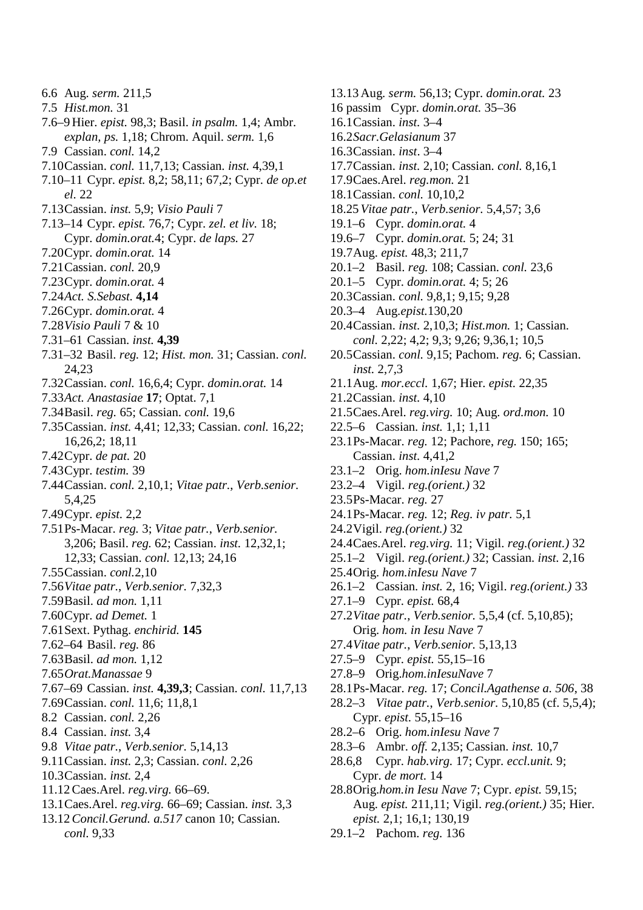- 6.6 Aug. *serm.* 211,5
- 7.5 *Hist.mon.* 31
- 7.6–9 Hier. *epist.* 98,3; Basil. *in psalm.* 1,4; Ambr. *explan, ps.* 1,18; Chrom. Aquil. *serm.* 1,6
- 7.9 Cassian. *conl.* 14,2
- 7.10Cassian. *conl.* 11,7,13; Cassian. *inst.* 4,39,1
- 7.10–11 Cypr. *epist.* 8,2; 58,11; 67,2; Cypr. *de op.et el.* 22
- 7.13Cassian. *inst.* 5,9; *Visio Pauli* 7
- 7.13–14 Cypr. *epist.* 76,7; Cypr. *zel. et liv.* 18; Cypr. *domin.orat.*4; Cypr. *de laps.* 27
- 7.20Cypr. *domin.orat.* 14
- 7.21Cassian. *conl.* 20,9
- 7.23Cypr. *domin.orat.* 4
- 7.24*Act. S.Sebast.* **4,14**
- 7.26Cypr. *domin.orat.* 4
- 7.28*Visio Pauli* 7 & 10
- 7.31–61 Cassian. *inst.* **4,39**
- 7.31–32 Basil. *reg.* 12; *Hist. mon.* 31; Cassian. *conl.* 24,23
- 7.32Cassian. *conl.* 16,6,4; Cypr. *domin.orat.* 14
- 7.33*Act. Anastasiae* **17**; Optat. 7,1
- 7.34Basil. *reg.* 65; Cassian. *conl.* 19,6
- 7.35Cassian. *inst.* 4,41; 12,33; Cassian. *conl.* 16,22; 16,26,2; 18,11
- 7.42Cypr. *de pat.* 20
- 7.43Cypr. *testim.* 39
- 7.44Cassian. *conl.* 2,10,1; *Vitae patr.*, *Verb.senior.* 5,4,25
- 7.49Cypr. *epist.* 2,2
- 7.51Ps-Macar. *reg.* 3; *Vitae patr.*, *Verb.senior.* 3,206; Basil. *reg.* 62; Cassian. *inst.* 12,32,1; 12,33; Cassian. *conl.* 12,13; 24,16
- 7.55Cassian. *conl.*2,10
- 7.56*Vitae patr.*, *Verb.senior.* 7,32,3
- 7.59Basil. *ad mon.* 1,11
- 7.60Cypr. *ad Demet.* 1
- 7.61Sext. Pythag. *enchirid.* **145**
- 7.62–64 Basil. *reg.* 86
- 7.63Basil. *ad mon.* 1,12
- 7.65*Orat.Manassae* 9
- 7.67–69 Cassian. *inst.* **4,39,3**; Cassian. *conl.* 11,7,13
- 7.69Cassian. *conl.* 11,6; 11,8,1
- 8.2 Cassian. *conl.* 2,26
- 8.4 Cassian. *inst.* 3,4
- 9.8 *Vitae patr.*, *Verb.senior.* 5,14,13
- 9.11Cassian. *inst.* 2,3; Cassian. *conl.* 2,26
- 10.3Cassian. *inst.* 2,4
- 11.12 Caes.Arel. *reg.virg.* 66–69.
- 13.1Caes.Arel. *reg.virg.* 66–69; Cassian. *inst.* 3,3
- 13.12*Concil.Gerund. a.517* canon 10; Cassian. *conl.* 9,33
- 16 passim Cypr. *domin.orat.* 35–36 16.1Cassian. *inst.* 3–4 16.2*Sacr.Gelasianum* 37 16.3Cassian. *inst*. 3–4 17.7Cassian. *inst.* 2,10; Cassian. *conl.* 8,16,1 17.9Caes.Arel. *reg.mon.* 21 18.1Cassian. *conl.* 10,10,2 18.25*Vitae patr.*, *Verb.senior.* 5,4,57; 3,6 19.1–6 Cypr. *domin.orat.* 4 19.6–7 Cypr. *domin.orat.* 5; 24; 31 19.7Aug. *epist.* 48,3; 211,7 20.1–2 Basil. *reg.* 108; Cassian. *conl.* 23,6 20.1–5 Cypr. *domin.orat.* 4; 5; 26 20.3Cassian. *conl.* 9,8,1; 9,15; 9,28 20.3–4 Aug.*epist.*130,20 20.4Cassian. *inst.* 2,10,3; *Hist.mon.* 1; Cassian. *conl.* 2,22; 4,2; 9,3; 9,26; 9,36,1; 10,5 20.5Cassian. *conl.* 9,15; Pachom. *reg.* 6; Cassian. *inst.* 2,7,3 21.1Aug. *mor.eccl.* 1,67; Hier. *epist.* 22,35 21.2Cassian. *inst.* 4,10 21.5Caes.Arel. *reg.virg.* 10; Aug. *ord.mon.* 10 22.5–6 Cassian. *inst.* 1,1; 1,11 23.1Ps-Macar. *reg.* 12; Pachore, *reg.* 150; 165; Cassian. *inst.* 4,41,2 23.1–2 Orig. *hom.inIesu Nave* 7 23.2–4 Vigil. *reg.(orient.)* 32 23.5Ps-Macar. *reg.* 27 24.1Ps-Macar. *reg.* 12; *Reg. iv patr.* 5,1 24.2Vigil. *reg.(orient.)* 32 24.4Caes.Arel. *reg.virg.* 11; Vigil. *reg.(orient.)* 32 25.1–2 Vigil. *reg.(orient.)* 32; Cassian. *inst.* 2,16 25.4Orig. *hom.inIesu Nave* 7 26.1–2 Cassian. *inst.* 2, 16; Vigil. *reg.(orient.)* 33 27.1–9 Cypr. *epist.* 68,4 27.2*Vitae patr.*, *Verb.senior.* 5,5,4 (cf. 5,10,85); Orig. *hom. in Iesu Nave* 7 27.4*Vitae patr.*, *Verb.senior.* 5,13,13 27.5–9 Cypr. *epist.* 55,15–16 27.8–9 Orig.*hom.inIesuNave* 7 28.1Ps-Macar. *reg.* 17; *Concil.Agathense a. 506*, 38 28.2–3 *Vitae patr.*, *Verb.senior.* 5,10,85 (cf. 5,5,4); Cypr. *epist.* 55,15–16 28.2–6 Orig. *hom.inIesu Nave* 7

13.13 Aug. *serm.* 56,13; Cypr. *domin.orat.* 23

- 28.3–6 Ambr. *off.* 2,135; Cassian. *inst.* 10,7
- 28.6,8 Cypr. *hab.virg.* 17; Cypr. *eccl.unit.* 9; Cypr. *de mort.* 14
- 28.8Orig.*hom.in Iesu Nave* 7; Cypr. *epist.* 59,15; Aug. *epist.* 211,11; Vigil. *reg.(orient.)* 35; Hier. *epist.* 2,1; 16,1; 130,19
- 29.1–2 Pachom. *reg.* 136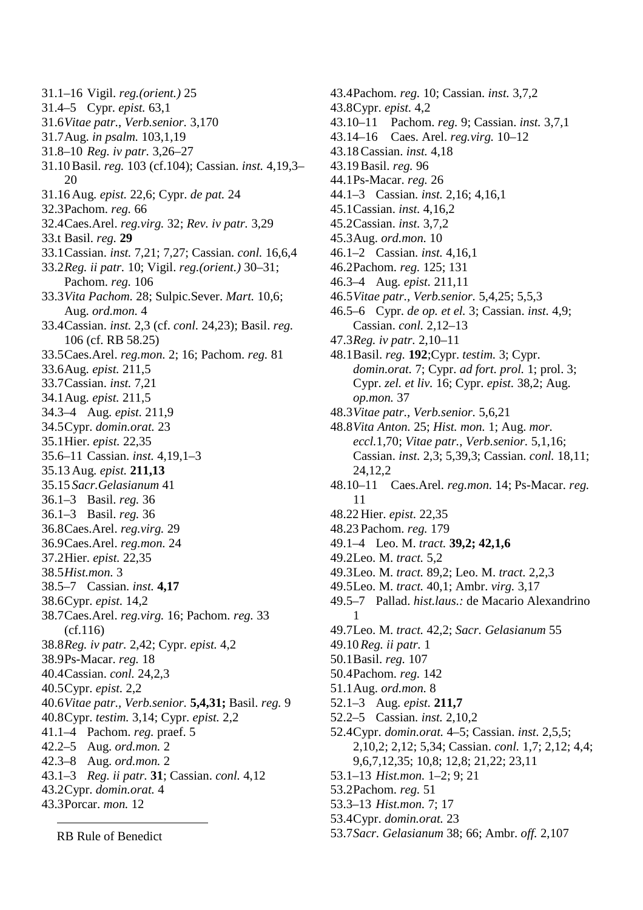- 31.1–16 Vigil. *reg.(orient.)* 25
- 31.4–5 Cypr. *epist.* 63,1
- 31.6*Vitae patr.*, *Verb.senior.* 3,170
- 31.7Aug. *in psalm.* 103,1,19
- 31.8–10 *Reg. iv patr.* 3,26–27
- 31.10 Basil. *reg.* 103 (cf.104); Cassian. *inst.* 4,19,3– 20
- 31.16 Aug. *epist.* 22,6; Cypr. *de pat.* 24
- 32.3Pachom. *reg.* 66
- 32.4Caes.Arel. *reg.virg.* 32; *Rev. iv patr.* 3,29
- 33.t Basil. *reg.* **29**
- 33.1Cassian. *inst.* 7,21; 7,27; Cassian. *conl.* 16,6,4
- 33.2*Reg. ii patr.* 10; Vigil. *reg.(orient.)* 30–31; Pachom. *reg.* 106
- 33.3*Vita Pachom.* 28; Sulpic.Sever. *Mart.* 10,6; Aug. *ord.mon.* 4
- 33.4Cassian. *inst.* 2,3 (cf. *conl.* 24,23); Basil. *reg.* 106 (cf. RB 58.25)
- 33.5Caes.Arel. *reg.mon.* 2; 16; Pachom. *reg.* 81
- 33.6Aug. *epist.* 211,5
- 33.7Cassian. *inst.* 7,21
- 34.1Aug. *epist.* 211,5
- 34.3–4 Aug. *epist.* 211,9
- 34.5Cypr. *domin.orat.* 23
- 35.1Hier. *epist.* 22,35
- 35.6–11 Cassian. *inst.* 4,19,1–3
- 35.13 Aug. *epist.* **211,13**
- 35.15 *Sacr.Gelasianum* 41
- 36.1–3 Basil. *reg.* 36 36.1–3 Basil. *reg.* 36
- 
- 36.8Caes.Arel. *reg.virg.* 29 36.9Caes.Arel. *reg.mon.* 24
- 37.2Hier. *epist.* 22,35
- 38.5*Hist.mon.* 3
- 38.5–7 Cassian. *inst.* **4,17**
- 38.6Cypr. *epist.* 14,2
- 38.7Caes.Arel. *reg.virg.* 16; Pachom. *reg.* 33 (cf.116)
- 38.8*Reg. iv patr.* 2,42; Cypr. *epist.* 4,2
- 38.9Ps-Macar. *reg.* 18
- 40.4Cassian. *conl.* 24,2,3
- 40.5Cypr. *epist.* 2,2
- 40.6*Vitae patr., Verb.senior.* **5,4,31;** Basil. *reg.* 9
- 40.8Cypr. *testim.* 3,14; Cypr. *epist.* 2,2
- 41.1–4 Pachom. *reg.* praef. 5
- 42.2–5 Aug. *ord.mon.* 2
- 42.3–8 Aug. *ord.mon.* 2
- 43.1–3 *Reg. ii patr.* **31**; Cassian. *conl.* 4,12
- 43.2Cypr. *domin.orat.* 4
- 43.3Porcar. *mon.* 12

RB Rule of Benedict

43.10–11 Pachom. *reg.* 9; Cassian. *inst.* 3,7,1 43.14–16 Caes. Arel. *reg.virg.* 10–12 43.18 Cassian. *inst.* 4,18 43.19 Basil. *reg.* 96 44.1Ps-Macar. *reg.* 26 44.1–3 Cassian. *inst.* 2,16; 4,16,1 45.1Cassian. *inst.* 4,16,2 45.2Cassian. *inst.* 3,7,2 45.3Aug. *ord.mon.* 10 46.1–2 Cassian. *inst.* 4,16,1 46.2Pachom. *reg.* 125; 131 46.3–4 Aug. *epist.* 211,11

43.4Pachom. *reg.* 10; Cassian. *inst.* 3,7,2

43.8Cypr. *epist.* 4,2

- 46.5*Vitae patr., Verb.senior.* 5,4,25; 5,5,3
- 46.5–6 Cypr. *de op. et el.* 3; Cassian. *inst.* 4,9; Cassian. *conl.* 2,12–13
- 47.3*Reg. iv patr.* 2,10–11
- 48.1Basil. *reg.* **192**;Cypr. *testim.* 3; Cypr. *domin.orat.* 7; Cypr. *ad fort. prol.* 1; prol. 3; Cypr. *zel. et liv.* 16; Cypr. *epist.* 38,2; Aug. *op.mon.* 37
- 48.3*Vitae patr., Verb.senior.* 5,6,21
- 48.8*Vita Anton.* 25; *Hist. mon.* 1; Aug. *mor. eccl.*1,70; *Vitae patr., Verb.senior.* 5,1,16; Cassian. *inst.* 2,3; 5,39,3; Cassian. *conl.* 18,11; 24,12,2
- 48.10–11 Caes.Arel. *reg.mon.* 14; Ps-Macar. *reg.* 11
- 48.22 Hier. *epist.* 22,35
- 48.23 Pachom. *reg.* 179
- 49.1–4 Leo. M. *tract.* **39,2; 42,1,6**
- 49.2Leo. M. *tract.* 5,2
- 49.3Leo. M. *tract.* 89,2; Leo. M. *tract.* 2,2,3
- 49.5Leo. M. *tract.* 40,1; Ambr. *virg.* 3,17
- 49.5–7 Pallad. *hist.laus.:* de Macario Alexandrino 1
- 49.7Leo. M. *tract.* 42,2; *Sacr. Gelasianum* 55
- 49.10*Reg. ii patr.* 1
- 50.1Basil. *reg.* 107
- 50.4Pachom. *reg.* 142
- 51.1Aug. *ord.mon.* 8
- 52.1–3 Aug. *epist.* **211,7**
- 52.2–5 Cassian. *inst.* 2,10,2
- 52.4Cypr. *domin.orat.* 4–5; Cassian. *inst.* 2,5,5; 2,10,2; 2,12; 5,34; Cassian. *conl.* 1,7; 2,12; 4,4; 9,6,7,12,35; 10,8; 12,8; 21,22; 23,11
- 53.1–13 *Hist.mon.* 1–2; 9; 21
- 53.2Pachom. *reg.* 51
- 53.3–13 *Hist.mon.* 7; 17
- 53.4Cypr. *domin.orat.* 23
- 53.7*Sacr. Gelasianum* 38; 66; Ambr. *off.* 2,107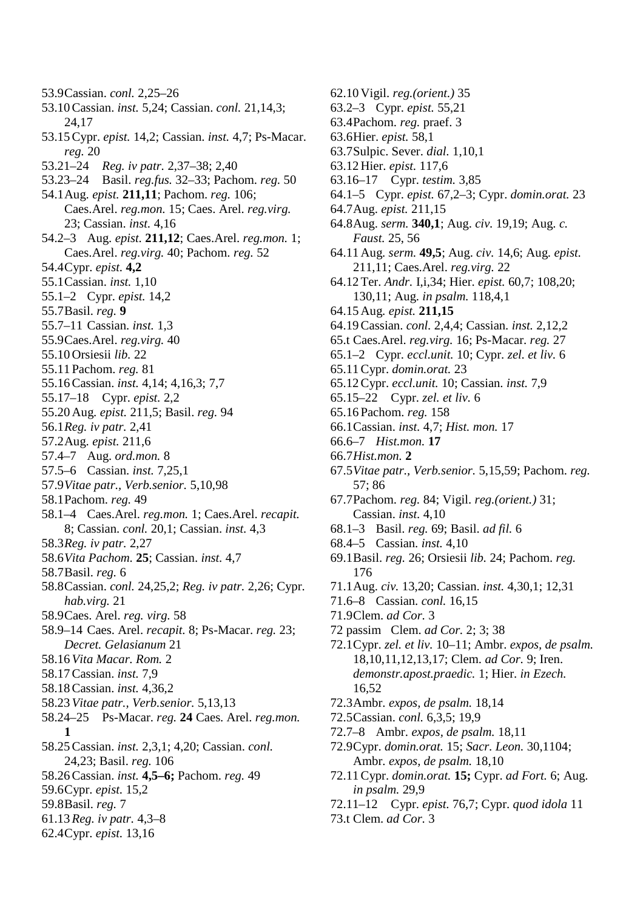- 53.9Cassian. *conl.* 2,25–26
- 53.10 Cassian. *inst.* 5,24; Cassian. *conl.* 21,14,3; 24,17
- 53.15 Cypr. *epist.* 14,2; Cassian. *inst.* 4,7; Ps-Macar. *reg.* 20
- 53.21–24 *Reg. iv patr.* 2,37–38; 2,40
- 53.23–24 Basil. *reg.fus.* 32–33; Pachom. *reg.* 50
- 54.1Aug. *epist.* **211,11**; Pachom. *reg.* 106; Caes.Arel. *reg.mon.* 15; Caes. Arel. *reg.virg.* 23; Cassian. *inst.* 4,16
- 54.2–3 Aug. *epist.* **211,12**; Caes.Arel. *reg.mon.* 1; Caes.Arel. *reg.virg.* 40; Pachom. *reg.* 52
- 54.4Cypr. *epist.* **4,2**
- 55.1Cassian. *inst.* 1,10
- 55.1–2 Cypr. *epist.* 14,2
- 55.7Basil. *reg.* **9**
- 55.7–11 Cassian. *inst.* 1,3
- 55.9Caes.Arel. *reg.virg.* 40
- 55.10 Orsiesii *lib.* 22
- 55.11 Pachom. *reg.* 81
- 55.16 Cassian. *inst.* 4,14; 4,16,3; 7,7
- 55.17–18 Cypr. *epist.* 2,2
- 55.20 Aug. *epist.* 211,5; Basil. *reg.* 94
- 56.1*Reg. iv patr.* 2,41
- 57.2Aug. *epist.* 211,6
- 57.4–7 Aug. *ord.mon.* 8
- 57.5–6 Cassian. *inst.* 7,25,1
- 57.9*Vitae patr., Verb.senior.* 5,10,98
- 58.1Pachom. *reg.* 49
- 58.1–4 Caes.Arel. *reg.mon.* 1; Caes.Arel. *recapit.* 8; Cassian. *conl.* 20,1; Cassian. *inst.* 4,3
- 58.3*Reg. iv patr.* 2,27
- 58.6*Vita Pachom.* **25**; Cassian. *inst.* 4,7
- 58.7Basil. *reg.* 6
- 58.8Cassian. *conl.* 24,25,2; *Reg. iv patr.* 2,26; Cypr. *hab.virg.* 21
- 58.9Caes. Arel. *reg. virg.* 58
- 58.9–14 Caes. Arel. *recapit.* 8; Ps-Macar. *reg.* 23; *Decret. Gelasianum* 21
- 58.16*Vita Macar. Rom.* 2
- 58.17 Cassian. *inst.* 7,9
- 58.18 Cassian. *inst.* 4,36,2
- 58.23*Vitae patr., Verb.senior.* 5,13,13
- 58.24–25 Ps-Macar. *reg.* **24** Caes. Arel. *reg.mon.* **1**
- 58.25 Cassian. *inst.* 2,3,1; 4,20; Cassian. *conl.* 24,23; Basil. *reg.* 106
- 58.26 Cassian. *inst.* **4,5–6;** Pachom. *reg.* 49
- 59.6Cypr. *epist.* 15,2
- 59.8Basil. *reg.* 7
- 61.13*Reg. iv patr.* 4,3–8
- 62.4Cypr. *epist.* 13,16
- 62.10 Vigil. *reg.(orient.)* 35 63.2–3 Cypr. *epist.* 55,21 63.4Pachom. *reg.* praef. 3 63.6Hier. *epist.* 58,1 63.7Sulpic. Sever. *dial.* 1,10,1 63.12 Hier. *epist.* 117,6 63.16–17 Cypr. *testim.* 3,85 64.1–5 Cypr. *epist.* 67,2–3; Cypr. *domin.orat.* 23 64.7Aug. *epist.* 211,15 64.8Aug. *serm.* **340,1**; Aug. *civ.* 19,19; Aug. *c. Faust.* 25, 56 64.11 Aug. *serm.* **49,5**; Aug. *civ.* 14,6; Aug. *epist.* 211,11; Caes.Arel. *reg.virg.* 22 64.12 Ter. *Andr.* I,i,34; Hier. *epist.* 60,7; 108,20; 130,11; Aug. *in psalm.* 118,4,1 64.15 Aug. *epist.* **211,15** 64.19 Cassian. *conl.* 2,4,4; Cassian. *inst.* 2,12,2 65.t Caes.Arel. *reg.virg.* 16; Ps-Macar. *reg.* 27 65.1–2 Cypr. *eccl.unit.* 10; Cypr. *zel. et liv.* 6 65.11 Cypr. *domin.orat.* 23 65.12 Cypr. *eccl.unit.* 10; Cassian. *inst.* 7,9 65.15–22 Cypr. *zel. et liv.* 6 65.16 Pachom. *reg.* 158 66.1Cassian. *inst.* 4,7; *Hist. mon.* 17 66.6–7 *Hist.mon.* **17** 66.7*Hist.mon.* **2** 67.5*Vitae patr., Verb.senior.* 5,15,59; Pachom. *reg.* 57; 86 67.7Pachom. *reg.* 84; Vigil. *reg.(orient.)* 31; Cassian. *inst.* 4,10 68.1–3 Basil. *reg.* 69; Basil. *ad fil.* 6 68.4–5 Cassian. *inst.* 4,10 69.1Basil. *reg.* 26; Orsiesii *lib.* 24; Pachom. *reg.* 176 71.1Aug. *civ.* 13,20; Cassian. *inst.* 4,30,1; 12,31 71.6–8 Cassian. *conl.* 16,15 71.9Clem. *ad Cor.* 3 72 passim Clem. *ad Cor.* 2; 3; 38
- 72.1Cypr. *zel. et liv.* 10–11; Ambr. *expos, de psalm.* 18,10,11,12,13,17; Clem. *ad Cor.* 9; Iren. *demonstr.apost.praedic.* 1; Hier. *in Ezech.* 16,52
- 72.3Ambr. *expos, de psalm.* 18,14
- 72.5Cassian. *conl.* 6,3,5; 19,9
- 72.7–8 Ambr. *expos, de psalm.* 18,11
- 72.9Cypr. *domin.orat.* 15; *Sacr. Leon.* 30,1104; Ambr. *expos, de psalm.* 18,10
- 72.11 Cypr. *domin.orat.* **15;** Cypr. *ad Fort.* 6; Aug. *in psalm.* 29,9
- 72.11–12 Cypr. *epist.* 76,7; Cypr. *quod idola* 11
- 73.t Clem. *ad Cor.* 3